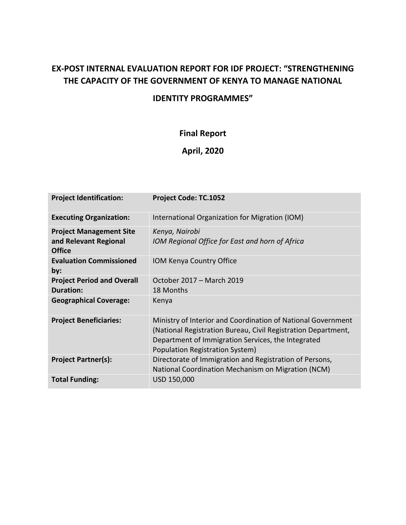## **EX-POST INTERNAL EVALUATION REPORT FOR IDF PROJECT: "STRENGTHENING THE CAPACITY OF THE GOVERNMENT OF KENYA TO MANAGE NATIONAL**

## **IDENTITY PROGRAMMES"**

## **Final Report**

## **April, 2020**

| <b>Project Identification:</b>                                           | Project Code: TC.1052                                                                                                                                                                                                  |
|--------------------------------------------------------------------------|------------------------------------------------------------------------------------------------------------------------------------------------------------------------------------------------------------------------|
| <b>Executing Organization:</b>                                           | International Organization for Migration (IOM)                                                                                                                                                                         |
| <b>Project Management Site</b><br>and Relevant Regional<br><b>Office</b> | Kenya, Nairobi<br>IOM Regional Office for East and horn of Africa                                                                                                                                                      |
| <b>Evaluation Commissioned</b><br>by:                                    | <b>IOM Kenya Country Office</b>                                                                                                                                                                                        |
| <b>Project Period and Overall</b><br>Duration:                           | October 2017 – March 2019<br>18 Months                                                                                                                                                                                 |
| <b>Geographical Coverage:</b>                                            | Kenya                                                                                                                                                                                                                  |
| <b>Project Beneficiaries:</b>                                            | Ministry of Interior and Coordination of National Government<br>(National Registration Bureau, Civil Registration Department,<br>Department of Immigration Services, the Integrated<br>Population Registration System) |
| <b>Project Partner(s):</b>                                               | Directorate of Immigration and Registration of Persons,<br>National Coordination Mechanism on Migration (NCM)                                                                                                          |
| <b>Total Funding:</b>                                                    | USD 150,000                                                                                                                                                                                                            |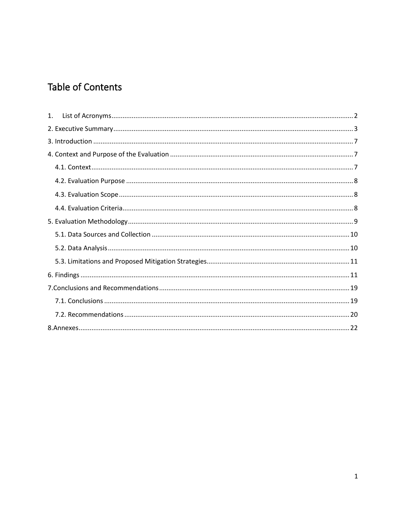# **Table of Contents**

| 1. |
|----|
|    |
|    |
|    |
|    |
|    |
|    |
|    |
|    |
|    |
|    |
|    |
|    |
|    |
|    |
|    |
|    |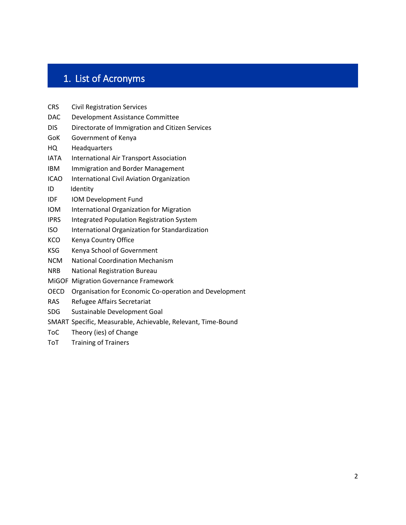# <span id="page-2-0"></span>1. List of Acronyms

- CRS Civil Registration Services
- DAC Development Assistance Committee
- DIS Directorate of Immigration and Citizen Services
- GoK Government of Kenya
- HQ Headquarters
- IATA International Air Transport Association
- IBM Immigration and Border Management
- ICAO International Civil Aviation Organization
- ID Identity
- IDF IOM Development Fund
- IOM International Organization for Migration
- IPRS Integrated Population Registration System
- ISO International Organization for Standardization
- KCO Kenya Country Office
- KSG Kenya School of Government
- NCM National Coordination Mechanism
- NRB National Registration Bureau
- MiGOF Migration Governance Framework
- OECD Organisation for Economic Co-operation and Development
- RAS Refugee Affairs Secretariat
- SDG Sustainable Development Goal
- SMART Specific, Measurable, Achievable, Relevant, Time-Bound
- ToC Theory (ies) of Change
- ToT Training of Trainers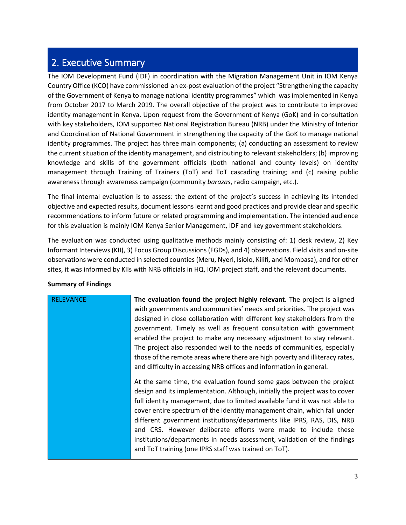## <span id="page-3-0"></span>2. Executive Summary

The IOM Development Fund (IDF) in coordination with the Migration Management Unit in IOM Kenya Country Office (KCO) have commissioned an ex-post evaluation of the project "Strengthening the capacity of the Government of Kenya to manage national identity programmes" which was implemented in Kenya from October 2017 to March 2019. The overall objective of the project was to contribute to improved identity management in Kenya. Upon request from the Government of Kenya (GoK) and in consultation with key stakeholders, IOM supported National Registration Bureau (NRB) under the Ministry of Interior and Coordination of National Government in strengthening the capacity of the GoK to manage national identity programmes. The project has three main components; (a) conducting an assessment to review the current situation of the identity management, and distributing to relevant stakeholders; (b) improving knowledge and skills of the government officials (both national and county levels) on identity management through Training of Trainers (ToT) and ToT cascading training; and (c) raising public awareness through awareness campaign (community *barazas*, radio campaign, etc.).

The final internal evaluation is to assess: the extent of the project's success in achieving its intended objective and expected results, document lessons learnt and good practices and provide clear and specific recommendations to inform future or related programming and implementation. The intended audience for this evaluation is mainly IOM Kenya Senior Management, IDF and key government stakeholders.

The evaluation was conducted using qualitative methods mainly consisting of: 1) desk review, 2) Key Informant Interviews (KII), 3) Focus Group Discussions (FGDs), and 4) observations. Field visits and on-site observations were conducted in selected counties (Meru, Nyeri, Isiolo, Kilifi, and Mombasa), and for other sites, it was informed by KIIs with NRB officials in HQ, IOM project staff, and the relevant documents.

| <b>RELEVANCE</b> | The evaluation found the project highly relevant. The project is aligned     |
|------------------|------------------------------------------------------------------------------|
|                  | with governments and communities' needs and priorities. The project was      |
|                  | designed in close collaboration with different key stakeholders from the     |
|                  | government. Timely as well as frequent consultation with government          |
|                  | enabled the project to make any necessary adjustment to stay relevant.       |
|                  | The project also responded well to the needs of communities, especially      |
|                  | those of the remote areas where there are high poverty and illiteracy rates, |
|                  | and difficulty in accessing NRB offices and information in general.          |
|                  |                                                                              |
|                  | At the same time, the evaluation found some gaps between the project         |
|                  | design and its implementation. Although, initially the project was to cover  |
|                  | full identity management, due to limited available fund it was not able to   |
|                  | cover entire spectrum of the identity management chain, which fall under     |
|                  | different government institutions/departments like IPRS, RAS, DIS, NRB       |
|                  | and CRS. However deliberate efforts were made to include these               |
|                  | institutions/departments in needs assessment, validation of the findings     |
|                  | and ToT training (one IPRS staff was trained on ToT).                        |
|                  |                                                                              |

### **Summary of Findings**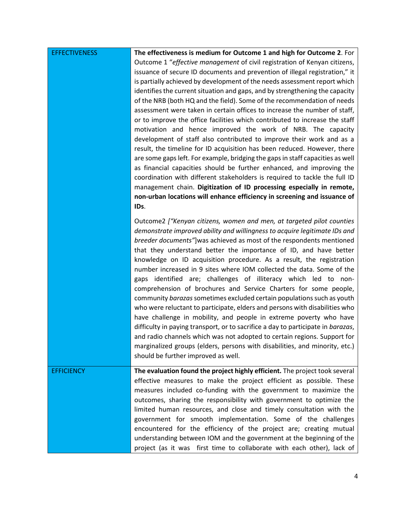| <b>EFFECTIVENESS</b> | The effectiveness is medium for Outcome 1 and high for Outcome 2. For<br>Outcome 1 "effective management of civil registration of Kenyan citizens,<br>issuance of secure ID documents and prevention of illegal registration," it<br>is partially achieved by development of the needs assessment report which<br>identifies the current situation and gaps, and by strengthening the capacity<br>of the NRB (both HQ and the field). Some of the recommendation of needs<br>assessment were taken in certain offices to increase the number of staff,<br>or to improve the office facilities which contributed to increase the staff<br>motivation and hence improved the work of NRB. The capacity<br>development of staff also contributed to improve their work and as a<br>result, the timeline for ID acquisition has been reduced. However, there<br>are some gaps left. For example, bridging the gaps in staff capacities as well                                                                                                                                                                     |
|----------------------|----------------------------------------------------------------------------------------------------------------------------------------------------------------------------------------------------------------------------------------------------------------------------------------------------------------------------------------------------------------------------------------------------------------------------------------------------------------------------------------------------------------------------------------------------------------------------------------------------------------------------------------------------------------------------------------------------------------------------------------------------------------------------------------------------------------------------------------------------------------------------------------------------------------------------------------------------------------------------------------------------------------------------------------------------------------------------------------------------------------|
|                      | as financial capacities should be further enhanced, and improving the<br>coordination with different stakeholders is required to tackle the full ID<br>management chain. Digitization of ID processing especially in remote,<br>non-urban locations will enhance efficiency in screening and issuance of<br>IDs.                                                                                                                                                                                                                                                                                                                                                                                                                                                                                                                                                                                                                                                                                                                                                                                               |
|                      | Outcome2 ["Kenyan citizens, women and men, at targeted pilot counties<br>demonstrate improved ability and willingness to acquire legitimate IDs and<br>breeder documents"] was achieved as most of the respondents mentioned<br>that they understand better the importance of ID, and have better<br>knowledge on ID acquisition procedure. As a result, the registration<br>number increased in 9 sites where IOM collected the data. Some of the<br>gaps identified are; challenges of illiteracy which led to non-<br>comprehension of brochures and Service Charters for some people,<br>community barazas sometimes excluded certain populations such as youth<br>who were reluctant to participate, elders and persons with disabilities who<br>have challenge in mobility, and people in extreme poverty who have<br>difficulty in paying transport, or to sacrifice a day to participate in barazas,<br>and radio channels which was not adopted to certain regions. Support for<br>marginalized groups (elders, persons with disabilities, and minority, etc.)<br>should be further improved as well. |
| <b>EFFICIENCY</b>    | The evaluation found the project highly efficient. The project took several<br>effective measures to make the project efficient as possible. These<br>measures included co-funding with the government to maximize the<br>outcomes, sharing the responsibility with government to optimize the<br>limited human resources, and close and timely consultation with the<br>government for smooth implementation. Some of the challenges<br>encountered for the efficiency of the project are; creating mutual<br>understanding between IOM and the government at the beginning of the<br>project (as it was first time to collaborate with each other), lack of                                                                                                                                                                                                                                                                                                                                                                                                                                                  |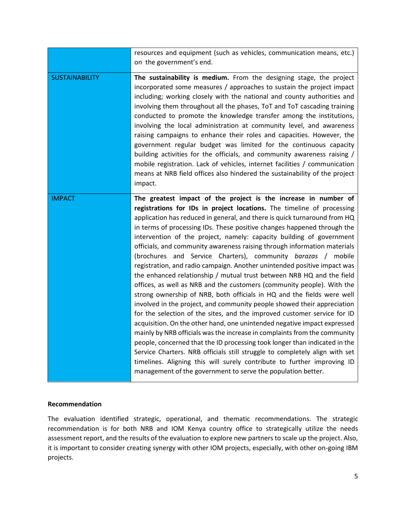|                       | resources and equipment (such as vehicles, communication means, etc.)<br>on the government's end.                                                                                                                                                                                                                                                                                                                                                                                                                                                                                                                                                                                                                                                                                                                                                                                                                                                                                                                                                                                                                                                                                                                                                                                                                                                                                                                                                      |
|-----------------------|--------------------------------------------------------------------------------------------------------------------------------------------------------------------------------------------------------------------------------------------------------------------------------------------------------------------------------------------------------------------------------------------------------------------------------------------------------------------------------------------------------------------------------------------------------------------------------------------------------------------------------------------------------------------------------------------------------------------------------------------------------------------------------------------------------------------------------------------------------------------------------------------------------------------------------------------------------------------------------------------------------------------------------------------------------------------------------------------------------------------------------------------------------------------------------------------------------------------------------------------------------------------------------------------------------------------------------------------------------------------------------------------------------------------------------------------------------|
| <b>SUSTAINABILITY</b> | The sustainability is medium. From the designing stage, the project<br>incorporated some measures / approaches to sustain the project impact<br>including; working closely with the national and county authorities and<br>involving them throughout all the phases, ToT and ToT cascading training<br>conducted to promote the knowledge transfer among the institutions,<br>involving the local administration at community level, and awareness<br>raising campaigns to enhance their roles and capacities. However, the<br>government regular budget was limited for the continuous capacity<br>building activities for the officials, and community awareness raising /<br>mobile registration. Lack of vehicles, internet facilities / communication<br>means at NRB field offices also hindered the sustainability of the project<br>impact.                                                                                                                                                                                                                                                                                                                                                                                                                                                                                                                                                                                                    |
| <b>IMPACT</b>         | The greatest impact of the project is the increase in number of<br>registrations for IDs in project locations. The timeline of processing<br>application has reduced in general, and there is quick turnaround from HQ<br>in terms of processing IDs. These positive changes happened through the<br>intervention of the project, namely: capacity building of government<br>officials, and community awareness raising through information materials<br>(brochures and Service Charters), community barazas / mobile<br>registration, and radio campaign. Another unintended positive impact was<br>the enhanced relationship / mutual trust between NRB HQ and the field<br>offices, as well as NRB and the customers (community people). With the<br>strong ownership of NRB, both officials in HQ and the fields were well<br>involved in the project, and community people showed their appreciation<br>for the selection of the sites, and the improved customer service for ID<br>acquisition. On the other hand, one unintended negative impact expressed<br>mainly by NRB officials was the increase in complaints from the community<br>people, concerned that the ID processing took longer than indicated in the<br>Service Charters. NRB officials still struggle to completely align with set<br>timelines. Aligning this will surely contribute to further improving ID<br>management of the government to serve the population better. |

#### **Recommendation**

The evaluation identified strategic, operational, and thematic recommendations. The strategic recommendation is for both NRB and IOM Kenya country office to strategically utilize the needs assessment report, and the results of the evaluation to explore new partners to scale up the project. Also, it is important to consider creating synergy with other IOM projects, especially, with other on-going IBM projects.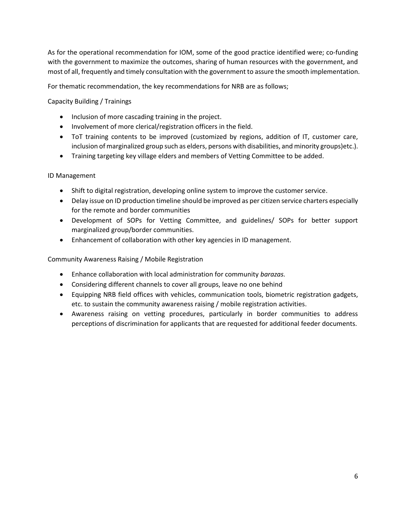As for the operational recommendation for IOM, some of the good practice identified were; co-funding with the government to maximize the outcomes, sharing of human resources with the government, and most of all, frequently and timely consultation with the government to assure the smooth implementation.

For thematic recommendation, the key recommendations for NRB are as follows;

Capacity Building / Trainings

- Inclusion of more cascading training in the project.
- Involvement of more clerical/registration officers in the field.
- ToT training contents to be improved (customized by regions, addition of IT, customer care, inclusion of marginalized group such as elders, persons with disabilities, and minority groups)etc.).
- Training targeting key village elders and members of Vetting Committee to be added.

#### ID Management

- Shift to digital registration, developing online system to improve the customer service.
- Delay issue on ID production timeline should be improved as per citizen service charters especially for the remote and border communities
- Development of SOPs for Vetting Committee, and guidelines/ SOPs for better support marginalized group/border communities.
- Enhancement of collaboration with other key agencies in ID management.

Community Awareness Raising / Mobile Registration

- Enhance collaboration with local administration for community *barazas.*
- Considering different channels to cover all groups, leave no one behind
- Equipping NRB field offices with vehicles, communication tools, biometric registration gadgets, etc. to sustain the community awareness raising / mobile registration activities.
- Awareness raising on vetting procedures, particularly in border communities to address perceptions of discrimination for applicants that are requested for additional feeder documents.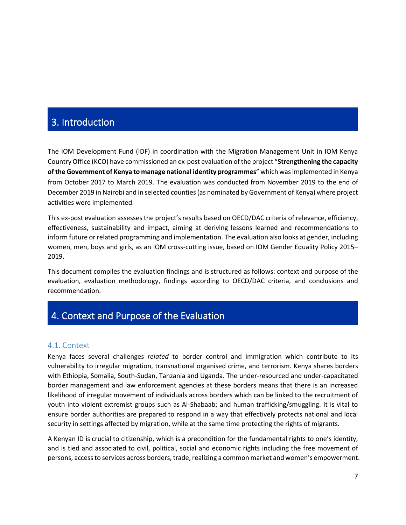## <span id="page-7-0"></span>3. Introduction

The IOM Development Fund (IDF) in coordination with the Migration Management Unit in IOM Kenya Country Office (KCO) have commissioned an ex-post evaluation of the project "**Strengthening the capacity of the Government of Kenya to manage national identity programmes**" which was implemented in Kenya from October 2017 to March 2019. The evaluation was conducted from November 2019 to the end of December 2019 in Nairobi and in selected counties (as nominated by Government of Kenya) where project activities were implemented.

This ex-post evaluation assesses the project's results based on OECD/DAC criteria of relevance, efficiency, effectiveness, sustainability and impact, aiming at deriving lessons learned and recommendations to inform future or related programming and implementation. The evaluation also looks at gender, including women, men, boys and girls, as an IOM cross-cutting issue, based on IOM Gender Equality Policy 2015– 2019.

This document compiles the evaluation findings and is structured as follows: context and purpose of the evaluation, evaluation methodology, findings according to OECD/DAC criteria, and conclusions and recommendation.

## <span id="page-7-1"></span>4. Context and Purpose of the Evaluation

#### <span id="page-7-2"></span>4.1. Context

Kenya faces several challenges *related* to border control and immigration which contribute to its vulnerability to irregular migration, transnational organised crime, and terrorism. Kenya shares borders with Ethiopia, Somalia, South-Sudan, Tanzania and Uganda. The under-resourced and under-capacitated border management and law enforcement agencies at these borders means that there is an increased likelihood of irregular movement of individuals across borders which can be linked to the recruitment of youth into violent extremist groups such as Al-Shabaab; and human trafficking/smuggling. It is vital to ensure border authorities are prepared to respond in a way that effectively protects national and local security in settings affected by migration, while at the same time protecting the rights of migrants.

A Kenyan ID is crucial to citizenship, which is a precondition for the fundamental rights to one's identity, and is tied and associated to civil, political, social and economic rights including the free movement of persons, access to services across borders, trade, realizing a common market and women's empowerment.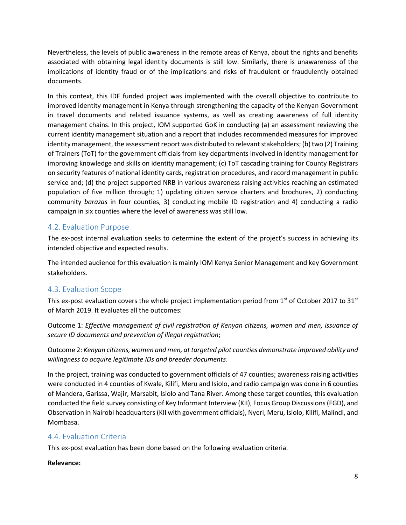Nevertheless, the levels of public awareness in the remote areas of Kenya, about the rights and benefits associated with obtaining legal identity documents is still low. Similarly, there is unawareness of the implications of identity fraud or of the implications and risks of fraudulent or fraudulently obtained documents.

In this context, this IDF funded project was implemented with the overall objective to contribute to improved identity management in Kenya through strengthening the capacity of the Kenyan Government in travel documents and related issuance systems, as well as creating awareness of full identity management chains. In this project, IOM supported GoK in conducting (a) an assessment reviewing the current identity management situation and a report that includes recommended measures for improved identity management, the assessment report was distributed to relevant stakeholders; (b) two (2) Training of Trainers (ToT) for the government officials from key departments involved in identity management for improving knowledge and skills on identity management; (c) ToT cascading training for County Registrars on security features of national identity cards, registration procedures, and record management in public service and; (d) the project supported NRB in various awareness raising activities reaching an estimated population of five million through; 1) updating citizen service charters and brochures, 2) conducting community *barazas* in four counties, 3) conducting mobile ID registration and 4) conducting a radio campaign in six counties where the level of awareness was still low.

### <span id="page-8-0"></span>4.2. Evaluation Purpose

The ex-post internal evaluation seeks to determine the extent of the project's success in achieving its intended objective and expected results.

The intended audience for this evaluation is mainly IOM Kenya Senior Management and key Government stakeholders.

### <span id="page-8-1"></span>4.3. Evaluation Scope

This ex-post evaluation covers the whole project implementation period from  $1<sup>st</sup>$  of October 2017 to 31 $<sup>st</sup>$ </sup> of March 2019. It evaluates all the outcomes:

Outcome 1: *Effective management of civil registration of Kenyan citizens, women and men, issuance of secure ID documents and prevention of illegal registration*;

Outcome 2: *Kenyan citizens, women and men, at targeted pilot counties demonstrate improved ability and willingness to acquire legitimate IDs and breeder documents*.

In the project, training was conducted to government officials of 47 counties; awareness raising activities were conducted in 4 counties of Kwale, Kilifi, Meru and Isiolo, and radio campaign was done in 6 counties of Mandera, Garissa, Wajir, Marsabit, Isiolo and Tana River. Among these target counties, this evaluation conducted the field survey consisting of Key Informant Interview (KII), Focus Group Discussions (FGD), and Observation in Nairobi headquarters (KII with government officials), Nyeri, Meru, Isiolo, Kilifi, Malindi, and Mombasa.

### <span id="page-8-2"></span>4.4. Evaluation Criteria

This ex-post evaluation has been done based on the following evaluation criteria.

#### **Relevance:**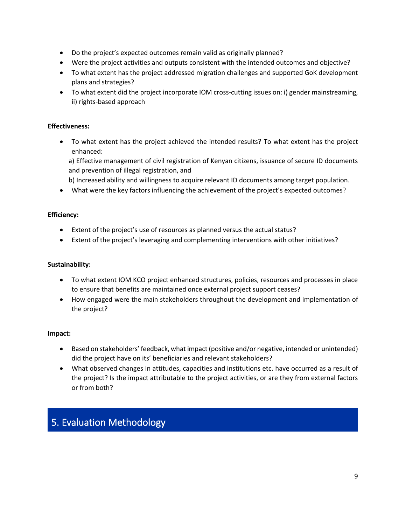- Do the project's expected outcomes remain valid as originally planned?
- Were the project activities and outputs consistent with the intended outcomes and objective?
- To what extent has the project addressed migration challenges and supported GoK development plans and strategies?
- To what extent did the project incorporate IOM cross-cutting issues on: i) gender mainstreaming, ii) rights-based approach

#### **Effectiveness:**

• To what extent has the project achieved the intended results? To what extent has the project enhanced:

a) Effective management of civil registration of Kenyan citizens, issuance of secure ID documents and prevention of illegal registration, and

- b) Increased ability and willingness to acquire relevant ID documents among target population.
- What were the key factors influencing the achievement of the project's expected outcomes?

#### **Efficiency:**

- Extent of the project's use of resources as planned versus the actual status?
- Extent of the project's leveraging and complementing interventions with other initiatives?

#### **Sustainability:**

- To what extent IOM KCO project enhanced structures, policies, resources and processes in place to ensure that benefits are maintained once external project support ceases?
- How engaged were the main stakeholders throughout the development and implementation of the project?

#### **Impact:**

- Based on stakeholders' feedback, what impact (positive and/or negative, intended or unintended) did the project have on its' beneficiaries and relevant stakeholders?
- What observed changes in attitudes, capacities and institutions etc. have occurred as a result of the project? Is the impact attributable to the project activities, or are they from external factors or from both?

## <span id="page-9-0"></span>5. Evaluation Methodology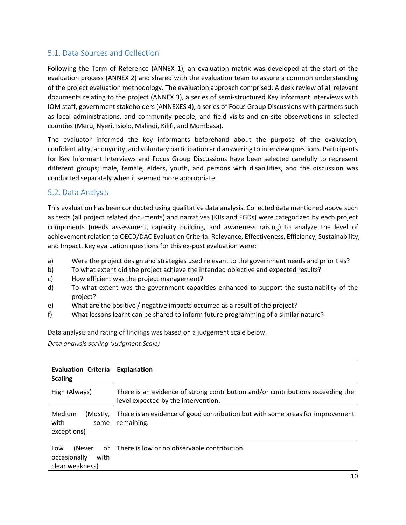## <span id="page-10-0"></span>5.1. Data Sources and Collection

Following the Term of Reference (ANNEX 1), an evaluation matrix was developed at the start of the evaluation process (ANNEX 2) and shared with the evaluation team to assure a common understanding of the project evaluation methodology. The evaluation approach comprised: A desk review of all relevant documents relating to the project (ANNEX 3), a series of semi-structured Key Informant Interviews with IOM staff, government stakeholders (ANNEXES 4), a series of Focus Group Discussions with partners such as local administrations, and community people, and field visits and on-site observations in selected counties (Meru, Nyeri, Isiolo, Malindi, Kilifi, and Mombasa).

The evaluator informed the key informants beforehand about the purpose of the evaluation, confidentiality, anonymity, and voluntary participation and answering to interview questions. Participants for Key Informant Interviews and Focus Group Discussions have been selected carefully to represent different groups; male, female, elders, youth, and persons with disabilities, and the discussion was conducted separately when it seemed more appropriate.

### <span id="page-10-1"></span>5.2. Data Analysis

This evaluation has been conducted using qualitative data analysis. Collected data mentioned above such as texts (all project related documents) and narratives (KIIs and FGDs) were categorized by each project components (needs assessment, capacity building, and awareness raising) to analyze the level of achievement relation to OECD/DAC Evaluation Criteria: Relevance, Effectiveness, Efficiency, Sustainability, and Impact. Key evaluation questions for this ex-post evaluation were:

- a) Were the project design and strategies used relevant to the government needs and priorities?
- b) To what extent did the project achieve the intended objective and expected results?
- c) How efficient was the project management?
- d) To what extent was the government capacities enhanced to support the sustainability of the project?
- e) What are the positive / negative impacts occurred as a result of the project?
- f) What lessons learnt can be shared to inform future programming of a similar nature?

Data analysis and rating of findings was based on a judgement scale below.

*Data analysis scaling (Judgment Scale)*

| <b>Evaluation Criteria</b><br><b>Scaling</b>                   | Explanation                                                                                                           |
|----------------------------------------------------------------|-----------------------------------------------------------------------------------------------------------------------|
| High (Always)                                                  | There is an evidence of strong contribution and/or contributions exceeding the<br>level expected by the intervention. |
| Medium<br>(Mostly,<br>with<br>some<br>exceptions)              | There is an evidence of good contribution but with some areas for improvement<br>remaining.                           |
| (Never<br>Low<br>or<br>occasionally<br>with<br>clear weakness) | There is low or no observable contribution.                                                                           |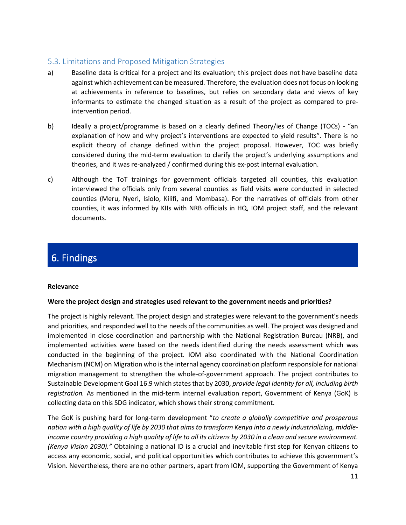### <span id="page-11-0"></span>5.3. Limitations and Proposed Mitigation Strategies

- a) Baseline data is critical for a project and its evaluation; this project does not have baseline data against which achievement can be measured. Therefore, the evaluation does not focus on looking at achievements in reference to baselines, but relies on secondary data and views of key informants to estimate the changed situation as a result of the project as compared to preintervention period.
- b) Ideally a project/programme is based on a clearly defined Theory/ies of Change (TOCs) "an explanation of how and why project's interventions are expected to yield results". There is no explicit theory of change defined within the project proposal. However, TOC was briefly considered during the mid-term evaluation to clarify the project's underlying assumptions and theories, and it was re-analyzed / confirmed during this ex-post internal evaluation.
- c) Although the ToT trainings for government officials targeted all counties, this evaluation interviewed the officials only from several counties as field visits were conducted in selected counties (Meru, Nyeri, Isiolo, Kilifi, and Mombasa). For the narratives of officials from other counties, it was informed by KIIs with NRB officials in HQ, IOM project staff, and the relevant documents.

# <span id="page-11-1"></span>6. Findings

#### **Relevance**

#### **Were the project design and strategies used relevant to the government needs and priorities?**

The project is highly relevant. The project design and strategies were relevant to the government's needs and priorities, and responded well to the needs of the communities as well. The project was designed and implemented in close coordination and partnership with the National Registration Bureau (NRB), and implemented activities were based on the needs identified during the needs assessment which was conducted in the beginning of the project. IOM also coordinated with the National Coordination Mechanism (NCM) on Migration who is the internal agency coordination platform responsible for national migration management to strengthen the whole-of-government approach. The project contributes to Sustainable Development Goal 16.9 which states that by 2030, *provide legal identity for all, including birth registration.* As mentioned in the mid-term internal evaluation report, Government of Kenya (GoK) is collecting data on this SDG indicator, which shows their strong commitment.

The GoK is pushing hard for long-term development "*to create a globally competitive and prosperous nation with a high quality of life by 2030 that aims to transform Kenya into a newly industrializing, middleincome country providing a high quality of life to all its citizens by 2030 in a clean and secure environment. (Kenya Vision 2030)."* Obtaining a national ID is a crucial and inevitable first step for Kenyan citizens to access any economic, social, and political opportunities which contributes to achieve this government's Vision. Nevertheless, there are no other partners, apart from IOM, supporting the Government of Kenya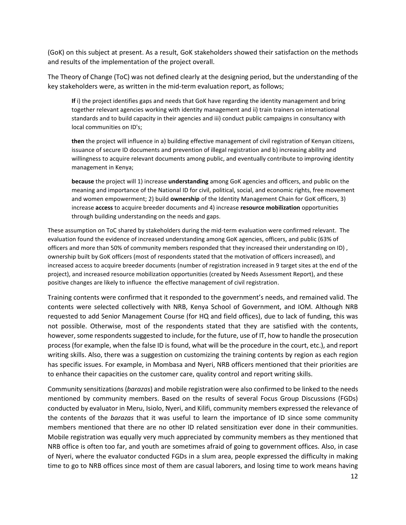(GoK) on this subject at present. As a result, GoK stakeholders showed their satisfaction on the methods and results of the implementation of the project overall.

The Theory of Change (ToC) was not defined clearly at the designing period, but the understanding of the key stakeholders were, as written in the mid-term evaluation report, as follows;

**If** i) the project identifies gaps and needs that GoK have regarding the identity management and bring together relevant agencies working with identity management and ii) train trainers on international standards and to build capacity in their agencies and iii) conduct public campaigns in consultancy with local communities on ID's;

**then** the project will influence in a) building effective management of civil registration of Kenyan citizens, issuance of secure ID documents and prevention of illegal registration and b) increasing ability and willingness to acquire relevant documents among public, and eventually contribute to improving identity management in Kenya;

**because** the project will 1) increase **understanding** among GoK agencies and officers, and public on the meaning and importance of the National ID for civil, political, social, and economic rights, free movement and women empowerment; 2) build **ownership** of the Identity Management Chain for GoK officers, 3) increase **access** to acquire breeder documents and 4) increase **resource mobilization** opportunities through building understanding on the needs and gaps.

These assumption on ToC shared by stakeholders during the mid-term evaluation were confirmed relevant. The evaluation found the evidence of increased understanding among GoK agencies, officers, and public (63% of officers and more than 50% of community members responded that they increased their understanding on ID) , ownership built by GoK officers (most of respondents stated that the motivation of officers increased), and increased access to acquire breeder documents (number of registration increased in 9 target sites at the end of the project), and increased resource mobilization opportunities (created by Needs Assessment Report), and these positive changes are likely to influence the effective management of civil registration.

Training contents were confirmed that it responded to the government's needs, and remained valid. The contents were selected collectively with NRB, Kenya School of Government, and IOM. Although NRB requested to add Senior Management Course (for HQ and field offices), due to lack of funding, this was not possible. Otherwise, most of the respondents stated that they are satisfied with the contents, however, some respondents suggested to include, for the future, use of IT, how to handle the prosecution process (for example, when the false ID is found, what will be the procedure in the court, etc.), and report writing skills. Also, there was a suggestion on customizing the training contents by region as each region has specific issues. For example, in Mombasa and Nyeri, NRB officers mentioned that their priorities are to enhance their capacities on the customer care, quality control and report writing skills.

Community sensitizations (*barazas*) and mobile registration were also confirmed to be linked to the needs mentioned by community members. Based on the results of several Focus Group Discussions (FGDs) conducted by evaluator in Meru, Isiolo, Nyeri, and Kilifi, community members expressed the relevance of the contents of the *barazas* that it was useful to learn the importance of ID since some community members mentioned that there are no other ID related sensitization ever done in their communities. Mobile registration was equally very much appreciated by community members as they mentioned that NRB office is often too far, and youth are sometimes afraid of going to government offices. Also, in case of Nyeri, where the evaluator conducted FGDs in a slum area, people expressed the difficulty in making time to go to NRB offices since most of them are casual laborers, and losing time to work means having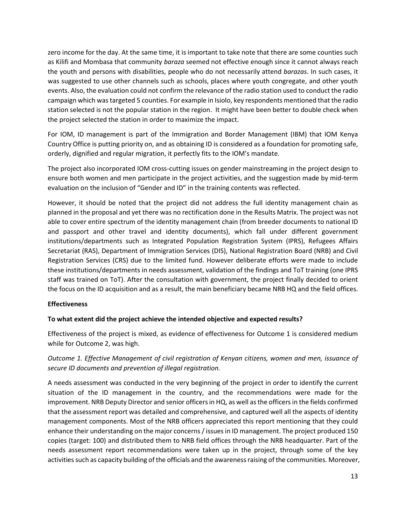zero income for the day. At the same time, it is important to take note that there are some counties such as Kilifi and Mombasa that community *baraza* seemed not effective enough since it cannot always reach the youth and persons with disabilities, people who do not necessarily attend *barazas*. In such cases, it was suggested to use other channels such as schools, places where youth congregate, and other youth events. Also, the evaluation could not confirm the relevance of the radio station used to conduct the radio campaign which was targeted 5 counties. For example in Isiolo, key respondents mentioned that the radio station selected is not the popular station in the region. It might have been better to double check when the project selected the station in order to maximize the impact.

For IOM, ID management is part of the Immigration and Border Management (IBM) that IOM Kenya Country Office is putting priority on, and as obtaining ID is considered as a foundation for promoting safe, orderly, dignified and regular migration, it perfectly fits to the IOM's mandate.

The project also incorporated IOM cross-cutting issues on gender mainstreaming in the project design to ensure both women and men participate in the project activities, and the suggestion made by mid-term evaluation on the inclusion of "Gender and ID" in the training contents was reflected.

However, it should be noted that the project did not address the full identity management chain as planned in the proposal and yet there was no rectification done in the Results Matrix. The project was not able to cover entire spectrum of the identity management chain (from breeder documents to national ID and passport and other travel and identity documents), which fall under different government institutions/departments such as Integrated Population Registration System (IPRS), Refugees Affairs Secretariat (RAS), Department of Immigration Services (DIS), National Registration Board (NRB) and Civil Registration Services (CRS) due to the limited fund. However deliberate efforts were made to include these institutions/departments in needs assessment, validation of the findings and ToT training (one IPRS staff was trained on ToT). After the consultation with government, the project finally decided to orient the focus on the ID acquisition and as a result, the main beneficiary became NRB HQ and the field offices.

#### **Effectiveness**

#### **To what extent did the project achieve the intended objective and expected results?**

Effectiveness of the project is mixed, as evidence of effectiveness for Outcome 1 is considered medium while for Outcome 2, was high.

### *Outcome 1. Effective Management of civil registration of Kenyan citizens, women and men, issuance of secure ID documents and prevention of illegal registration.*

A needs assessment was conducted in the very beginning of the project in order to identify the current situation of the ID management in the country, and the recommendations were made for the improvement. NRB Deputy Director and senior officers in HQ, as well as the officers in the fields confirmed that the assessment report was detailed and comprehensive, and captured well all the aspects of identity management components. Most of the NRB officers appreciated this report mentioning that they could enhance their understanding on the major concerns / issues in ID management. The project produced 150 copies (target: 100) and distributed them to NRB field offices through the NRB headquarter. Part of the needs assessment report recommendations were taken up in the project, through some of the key activities such as capacity building of the officials and the awareness raising of the communities. Moreover,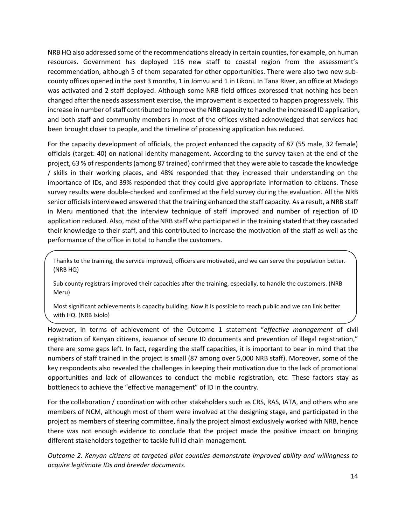NRB HQ also addressed some of the recommendations already in certain counties, for example, on human resources. Government has deployed 116 new staff to coastal region from the assessment's recommendation, although 5 of them separated for other opportunities. There were also two new subcounty offices opened in the past 3 months, 1 in Jomvu and 1 in Likoni. In Tana River, an office at Madogo was activated and 2 staff deployed. Although some NRB field offices expressed that nothing has been changed after the needs assessment exercise, the improvement is expected to happen progressively. This increase in number of staff contributed to improve the NRB capacity to handle the increased ID application, and both staff and community members in most of the offices visited acknowledged that services had been brought closer to people, and the timeline of processing application has reduced.

For the capacity development of officials, the project enhanced the capacity of 87 (55 male, 32 female) officials (target: 40) on national identity management. According to the survey taken at the end of the project, 63 % of respondents (among 87 trained) confirmed that they were able to cascade the knowledge / skills in their working places, and 48% responded that they increased their understanding on the importance of IDs, and 39% responded that they could give appropriate information to citizens. These survey results were double-checked and confirmed at the field survey during the evaluation. All the NRB senior officials interviewed answered that the training enhanced the staff capacity. As a result, a NRB staff in Meru mentioned that the interview technique of staff improved and number of rejection of ID application reduced. Also, most of the NRB staff who participated in the training stated that they cascaded their knowledge to their staff, and this contributed to increase the motivation of the staff as well as the performance of the office in total to handle the customers.

Thanks to the training, the service improved, officers are motivated, and we can serve the population better. (NRB HQ)

Sub county registrars improved their capacities after the training, especially, to handle the customers. (NRB Meru)

Most significant achievements is capacity building. Now it is possible to reach public and we can link better with HQ. (NRB Isiolo)

However, in terms of achievement of the Outcome 1 statement "*effective management* of civil registration of Kenyan citizens, issuance of secure ID documents and prevention of illegal registration," there are some gaps left. In fact, regarding the staff capacities, it is important to bear in mind that the numbers of staff trained in the project is small (87 among over 5,000 NRB staff). Moreover, some of the key respondents also revealed the challenges in keeping their motivation due to the lack of promotional opportunities and lack of allowances to conduct the mobile registration, etc. These factors stay as bottleneck to achieve the "effective management" of ID in the country.

For the collaboration / coordination with other stakeholders such as CRS, RAS, IATA, and others who are members of NCM, although most of them were involved at the designing stage, and participated in the project as members of steering committee, finally the project almost exclusively worked with NRB, hence there was not enough evidence to conclude that the project made the positive impact on bringing different stakeholders together to tackle full id chain management.

*Outcome 2. Kenyan citizens at targeted pilot counties demonstrate improved ability and willingness to acquire legitimate IDs and breeder documents.*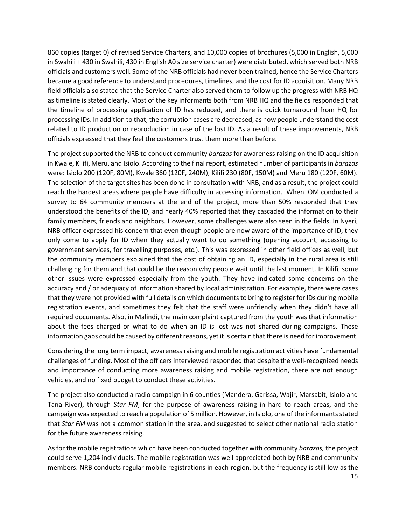860 copies (target 0) of revised Service Charters, and 10,000 copies of brochures (5,000 in English, 5,000 in Swahili + 430 in Swahili, 430 in English A0 size service charter) were distributed, which served both NRB officials and customers well. Some of the NRB officials had never been trained, hence the Service Charters became a good reference to understand procedures, timelines, and the cost for ID acquisition. Many NRB field officials also stated that the Service Charter also served them to follow up the progress with NRB HQ as timeline is stated clearly. Most of the key informants both from NRB HQ and the fields responded that the timeline of processing application of ID has reduced, and there is quick turnaround from HQ for processing IDs. In addition to that, the corruption cases are decreased, as now people understand the cost related to ID production or reproduction in case of the lost ID. As a result of these improvements, NRB officials expressed that they feel the customers trust them more than before.

The project supported the NRB to conduct community *barazas* for awareness raising on the ID acquisition in Kwale, Kilifi, Meru, and Isiolo. According to the final report, estimated number of participants in *barazas* were: Isiolo 200 (120F, 80M), Kwale 360 (120F, 240M), Kilifi 230 (80F, 150M) and Meru 180 (120F, 60M). The selection of the target sites has been done in consultation with NRB, and as a result, the project could reach the hardest areas where people have difficulty in accessing information. When IOM conducted a survey to 64 community members at the end of the project, more than 50% responded that they understood the benefits of the ID, and nearly 40% reported that they cascaded the information to their family members, friends and neighbors. However, some challenges were also seen in the fields. In Nyeri, NRB officer expressed his concern that even though people are now aware of the importance of ID, they only come to apply for ID when they actually want to do something (opening account, accessing to government services, for travelling purposes, etc.). This was expressed in other field offices as well, but the community members explained that the cost of obtaining an ID, especially in the rural area is still challenging for them and that could be the reason why people wait until the last moment. In Kilifi, some other issues were expressed especially from the youth. They have indicated some concerns on the accuracy and / or adequacy of information shared by local administration. For example, there were cases that they were not provided with full details on which documents to bring to register for IDs during mobile registration events, and sometimes they felt that the staff were unfriendly when they didn't have all required documents. Also, in Malindi, the main complaint captured from the youth was that information about the fees charged or what to do when an ID is lost was not shared during campaigns. These information gaps could be caused by different reasons, yet it is certain that there is need for improvement.

Considering the long term impact, awareness raising and mobile registration activities have fundamental challenges of funding. Most of the officers interviewed responded that despite the well-recognized needs and importance of conducting more awareness raising and mobile registration, there are not enough vehicles, and no fixed budget to conduct these activities.

The project also conducted a radio campaign in 6 counties (Mandera, Garissa, Wajir, Marsabit, Isiolo and Tana River), through *Star FM*, for the purpose of awareness raising in hard to reach areas, and the campaign was expected to reach a population of 5 million. However, in Isiolo, one of the informantsstated that *Star FM* was not a common station in the area, and suggested to select other national radio station for the future awareness raising.

As for the mobile registrations which have been conducted together with community *barazas,* the project could serve 1,204 individuals. The mobile registration was well appreciated both by NRB and community members. NRB conducts regular mobile registrations in each region, but the frequency is still low as the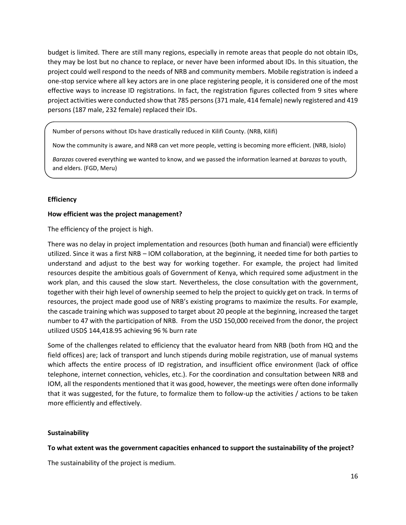budget is limited. There are still many regions, especially in remote areas that people do not obtain IDs, they may be lost but no chance to replace, or never have been informed about IDs. In this situation, the project could well respond to the needs of NRB and community members. Mobile registration is indeed a one-stop service where all key actors are in one place registering people, it is considered one of the most effective ways to increase ID registrations. In fact, the registration figures collected from 9 sites where project activities were conducted show that 785 persons (371 male, 414 female) newly registered and 419 persons (187 male, 232 female) replaced their IDs.

Number of persons without IDs have drastically reduced in Kilifi County. (NRB, Kilifi)

Now the community is aware, and NRB can vet more people, vetting is becoming more efficient. (NRB, Isiolo)

*Barazas* covered everything we wanted to know, and we passed the information learned at *barazas* to youth, and elders. (FGD, Meru)

#### **Efficiency**

#### **How efficient was the project management?**

The efficiency of the project is high.

There was no delay in project implementation and resources (both human and financial) were efficiently utilized. Since it was a first NRB – IOM collaboration, at the beginning, it needed time for both parties to understand and adjust to the best way for working together. For example, the project had limited resources despite the ambitious goals of Government of Kenya, which required some adjustment in the work plan, and this caused the slow start. Nevertheless, the close consultation with the government, together with their high level of ownership seemed to help the project to quickly get on track. In terms of resources, the project made good use of NRB's existing programs to maximize the results. For example, the cascade training which was supposed to target about 20 people at the beginning, increased the target number to 47 with the participation of NRB. From the USD 150,000 received from the donor, the project utilized USD\$ 144,418.95 achieving 96 % burn rate

Some of the challenges related to efficiency that the evaluator heard from NRB (both from HQ and the field offices) are; lack of transport and lunch stipends during mobile registration, use of manual systems which affects the entire process of ID registration, and insufficient office environment (lack of office telephone, internet connection, vehicles, etc.). For the coordination and consultation between NRB and IOM, all the respondents mentioned that it was good, however, the meetings were often done informally that it was suggested, for the future, to formalize them to follow-up the activities / actions to be taken more efficiently and effectively.

#### **Sustainability**

**To what extent was the government capacities enhanced to support the sustainability of the project?**

The sustainability of the project is medium.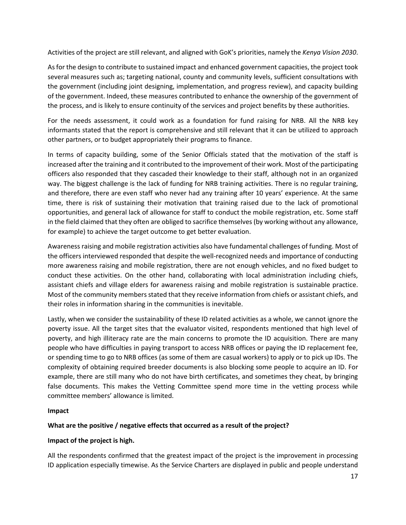Activities of the project are still relevant, and aligned with GoK's priorities, namely the *Kenya Vision 2030*.

As for the design to contribute to sustained impact and enhanced government capacities, the project took several measures such as; targeting national, county and community levels, sufficient consultations with the government (including joint designing, implementation, and progress review), and capacity building of the government. Indeed, these measures contributed to enhance the ownership of the government of the process, and is likely to ensure continuity of the services and project benefits by these authorities.

For the needs assessment, it could work as a foundation for fund raising for NRB. All the NRB key informants stated that the report is comprehensive and still relevant that it can be utilized to approach other partners, or to budget appropriately their programs to finance.

In terms of capacity building, some of the Senior Officials stated that the motivation of the staff is increased after the training and it contributed to the improvement of their work. Most of the participating officers also responded that they cascaded their knowledge to their staff, although not in an organized way. The biggest challenge is the lack of funding for NRB training activities. There is no regular training, and therefore, there are even staff who never had any training after 10 years' experience. At the same time, there is risk of sustaining their motivation that training raised due to the lack of promotional opportunities, and general lack of allowance for staff to conduct the mobile registration, etc. Some staff in the field claimed that they often are obliged to sacrifice themselves (by working without any allowance, for example) to achieve the target outcome to get better evaluation.

Awareness raising and mobile registration activities also have fundamental challenges of funding. Most of the officers interviewed responded that despite the well-recognized needs and importance of conducting more awareness raising and mobile registration, there are not enough vehicles, and no fixed budget to conduct these activities. On the other hand, collaborating with local administration including chiefs, assistant chiefs and village elders for awareness raising and mobile registration is sustainable practice. Most of the community members stated that they receive information from chiefs or assistant chiefs, and their roles in information sharing in the communities is inevitable.

Lastly, when we consider the sustainability of these ID related activities as a whole, we cannot ignore the poverty issue. All the target sites that the evaluator visited, respondents mentioned that high level of poverty, and high illiteracy rate are the main concerns to promote the ID acquisition. There are many people who have difficulties in paying transport to access NRB offices or paying the ID replacement fee, or spending time to go to NRB offices (as some of them are casual workers) to apply or to pick up IDs. The complexity of obtaining required breeder documents is also blocking some people to acquire an ID. For example, there are still many who do not have birth certificates, and sometimes they cheat, by bringing false documents. This makes the Vetting Committee spend more time in the vetting process while committee members' allowance is limited.

#### **Impact**

#### **What are the positive / negative effects that occurred as a result of the project?**

#### **Impact of the project is high.**

All the respondents confirmed that the greatest impact of the project is the improvement in processing ID application especially timewise. As the Service Charters are displayed in public and people understand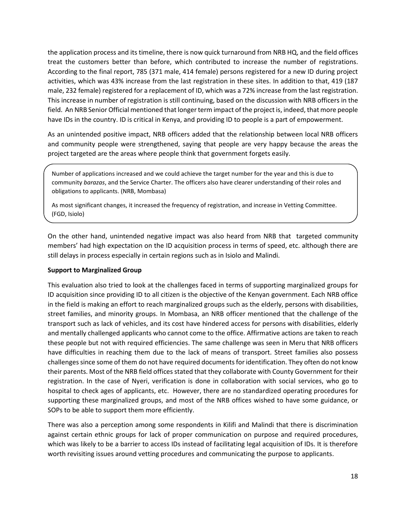the application process and its timeline, there is now quick turnaround from NRB HQ, and the field offices treat the customers better than before, which contributed to increase the number of registrations. According to the final report, 785 (371 male, 414 female) persons registered for a new ID during project activities, which was 43% increase from the last registration in these sites. In addition to that, 419 (187 male, 232 female) registered for a replacement of ID, which was a 72% increase from the last registration. This increase in number of registration is still continuing, based on the discussion with NRB officers in the field. An NRB Senior Official mentioned that longer term impact of the project is, indeed, that more people have IDs in the country. ID is critical in Kenya, and providing ID to people is a part of empowerment.

As an unintended positive impact, NRB officers added that the relationship between local NRB officers and community people were strengthened, saying that people are very happy because the areas the project targeted are the areas where people think that government forgets easily.

Number of applications increased and we could achieve the target number for the year and this is due to community *barazas*, and the Service Charter. The officers also have clearer understanding of their roles and obligations to applicants. (NRB, Mombasa)

As most significant changes, it increased the frequency of registration, and increase in Vetting Committee. (FGD, Isiolo)

On the other hand, unintended negative impact was also heard from NRB that targeted community members' had high expectation on the ID acquisition process in terms of speed, etc. although there are still delays in process especially in certain regions such as in Isiolo and Malindi.

#### **Support to Marginalized Group**

This evaluation also tried to look at the challenges faced in terms of supporting marginalized groups for ID acquisition since providing ID to all citizen is the objective of the Kenyan government. Each NRB office in the field is making an effort to reach marginalized groups such as the elderly, persons with disabilities, street families, and minority groups. In Mombasa, an NRB officer mentioned that the challenge of the transport such as lack of vehicles, and its cost have hindered access for persons with disabilities, elderly and mentally challenged applicants who cannot come to the office. Affirmative actions are taken to reach these people but not with required efficiencies. The same challenge was seen in Meru that NRB officers have difficulties in reaching them due to the lack of means of transport. Street families also possess challenges since some of them do not have required documents for identification. They often do not know their parents. Most of the NRB field offices stated that they collaborate with County Government for their registration. In the case of Nyeri, verification is done in collaboration with social services, who go to hospital to check ages of applicants, etc. However, there are no standardized operating procedures for supporting these marginalized groups, and most of the NRB offices wished to have some guidance, or SOPs to be able to support them more efficiently.

There was also a perception among some respondents in Kilifi and Malindi that there is discrimination against certain ethnic groups for lack of proper communication on purpose and required procedures, which was likely to be a barrier to access IDs instead of facilitating legal acquisition of IDs. It is therefore worth revisiting issues around vetting procedures and communicating the purpose to applicants.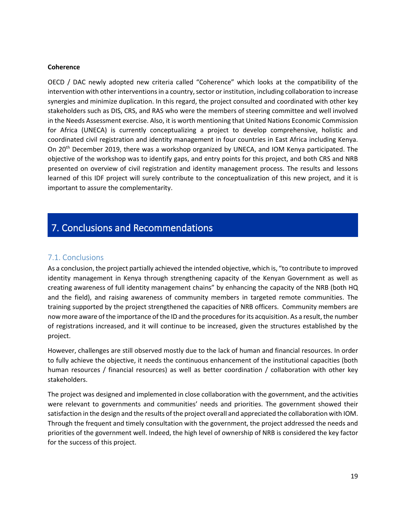#### **Coherence**

OECD / DAC newly adopted new criteria called "Coherence" which looks at the compatibility of the intervention with other interventions in a country, sector or institution, including collaboration to increase synergies and minimize duplication. In this regard, the project consulted and coordinated with other key stakeholders such as DIS, CRS, and RAS who were the members of steering committee and well involved in the Needs Assessment exercise. Also, it is worth mentioning that United Nations Economic Commission for Africa (UNECA) is currently conceptualizing a project to develop comprehensive, holistic and coordinated civil registration and identity management in four countries in East Africa including Kenya. On 20th December 2019, there was a workshop organized by UNECA, and IOM Kenya participated. The objective of the workshop was to identify gaps, and entry points for this project, and both CRS and NRB presented on overview of civil registration and identity management process. The results and lessons learned of this IDF project will surely contribute to the conceptualization of this new project, and it is important to assure the complementarity.

## <span id="page-19-0"></span>7. Conclusions and Recommendations

#### <span id="page-19-1"></span>7.1. Conclusions

As a conclusion, the project partially achieved the intended objective, which is, "to contribute to improved identity management in Kenya through strengthening capacity of the Kenyan Government as well as creating awareness of full identity management chains" by enhancing the capacity of the NRB (both HQ and the field), and raising awareness of community members in targeted remote communities. The training supported by the project strengthened the capacities of NRB officers. Community members are now more aware of the importance of the ID and the procedures for its acquisition. As a result, the number of registrations increased, and it will continue to be increased, given the structures established by the project.

However, challenges are still observed mostly due to the lack of human and financial resources. In order to fully achieve the objective, it needs the continuous enhancement of the institutional capacities (both human resources / financial resources) as well as better coordination / collaboration with other key stakeholders.

The project was designed and implemented in close collaboration with the government, and the activities were relevant to governments and communities' needs and priorities. The government showed their satisfaction in the design and the results of the project overall and appreciated the collaboration with IOM. Through the frequent and timely consultation with the government, the project addressed the needs and priorities of the government well. Indeed, the high level of ownership of NRB is considered the key factor for the success of this project.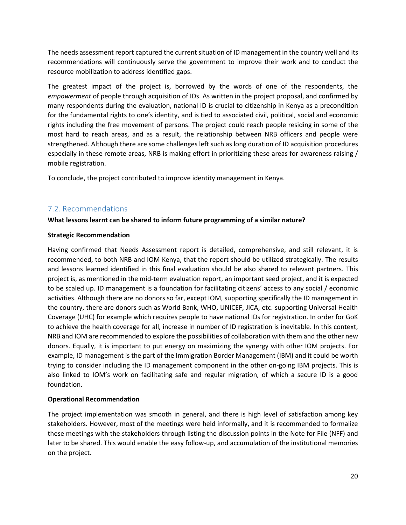The needs assessment report captured the current situation of ID management in the country well and its recommendations will continuously serve the government to improve their work and to conduct the resource mobilization to address identified gaps.

The greatest impact of the project is, borrowed by the words of one of the respondents, the *empowerment* of people through acquisition of IDs. As written in the project proposal, and confirmed by many respondents during the evaluation, national ID is crucial to citizenship in Kenya as a precondition for the fundamental rights to one's identity, and is tied to associated civil, political, social and economic rights including the free movement of persons. The project could reach people residing in some of the most hard to reach areas, and as a result, the relationship between NRB officers and people were strengthened. Although there are some challenges left such as long duration of ID acquisition procedures especially in these remote areas, NRB is making effort in prioritizing these areas for awareness raising / mobile registration.

To conclude, the project contributed to improve identity management in Kenya.

### <span id="page-20-0"></span>7.2. Recommendations

#### **What lessons learnt can be shared to inform future programming of a similar nature?**

#### **Strategic Recommendation**

Having confirmed that Needs Assessment report is detailed, comprehensive, and still relevant, it is recommended, to both NRB and IOM Kenya, that the report should be utilized strategically. The results and lessons learned identified in this final evaluation should be also shared to relevant partners. This project is, as mentioned in the mid-term evaluation report, an important seed project, and it is expected to be scaled up. ID management is a foundation for facilitating citizens' access to any social / economic activities. Although there are no donors so far, except IOM, supporting specifically the ID management in the country, there are donors such as World Bank, WHO, UNICEF, JICA, etc. supporting Universal Health Coverage (UHC) for example which requires people to have national IDs for registration. In order for GoK to achieve the health coverage for all, increase in number of ID registration is inevitable. In this context, NRB and IOM are recommended to explore the possibilities of collaboration with them and the other new donors. Equally, it is important to put energy on maximizing the synergy with other IOM projects. For example, ID management is the part of the Immigration Border Management (IBM) and it could be worth trying to consider including the ID management component in the other on-going IBM projects. This is also linked to IOM's work on facilitating safe and regular migration, of which a secure ID is a good foundation.

#### **Operational Recommendation**

The project implementation was smooth in general, and there is high level of satisfaction among key stakeholders. However, most of the meetings were held informally, and it is recommended to formalize these meetings with the stakeholders through listing the discussion points in the Note for File (NFF) and later to be shared. This would enable the easy follow-up, and accumulation of the institutional memories on the project.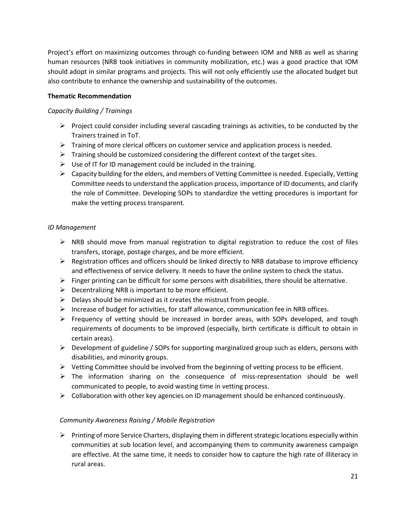Project's effort on maximizing outcomes through co-funding between IOM and NRB as well as sharing human resources (NRB took initiatives in community mobilization, etc.) was a good practice that IOM should adopt in similar programs and projects. This will not only efficiently use the allocated budget but also contribute to enhance the ownership and sustainability of the outcomes.

#### **Thematic Recommendation**

#### *Capacity Building / Trainings*

- $\triangleright$  Project could consider including several cascading trainings as activities, to be conducted by the Trainers trained in ToT.
- $\triangleright$  Training of more clerical officers on customer service and application process is needed.
- $\triangleright$  Training should be customized considering the different context of the target sites.
- $\triangleright$  Use of IT for ID management could be included in the training.
- $\triangleright$  Capacity building for the elders, and members of Vetting Committee is needed. Especially, Vetting Committee needs to understand the application process, importance of ID documents, and clarify the role of Committee. Developing SOPs to standardize the vetting procedures is important for make the vetting process transparent.

#### *ID Management*

- $\triangleright$  NRB should move from manual registration to digital registration to reduce the cost of files transfers, storage, postage charges, and be more efficient.
- $\triangleright$  Registration offices and officers should be linked directly to NRB database to improve efficiency and effectiveness of service delivery. It needs to have the online system to check the status.
- $\triangleright$  Finger printing can be difficult for some persons with disabilities, there should be alternative.
- $\triangleright$  Decentralizing NRB is important to be more efficient.
- $\triangleright$  Delays should be minimized as it creates the mistrust from people.
- $\triangleright$  Increase of budget for activities, for staff allowance, communication fee in NRB offices.
- ➢ Frequency of vetting should be increased in border areas, with SOPs developed, and tough requirements of documents to be improved (especially, birth certificate is difficult to obtain in certain areas).
- $\triangleright$  Development of guideline / SOPs for supporting marginalized group such as elders, persons with disabilities, and minority groups.
- ➢ Vetting Committee should be involved from the beginning of vetting process to be efficient.
- $\triangleright$  The information sharing on the consequence of miss-representation should be well communicated to people, to avoid wasting time in vetting process.
- $\triangleright$  Collaboration with other key agencies on ID management should be enhanced continuously.

#### *Community Awareness Raising / Mobile Registration*

 $\triangleright$  Printing of more Service Charters, displaying them in different strategic locations especially within communities at sub location level, and accompanying them to community awareness campaign are effective. At the same time, it needs to consider how to capture the high rate of illiteracy in rural areas.